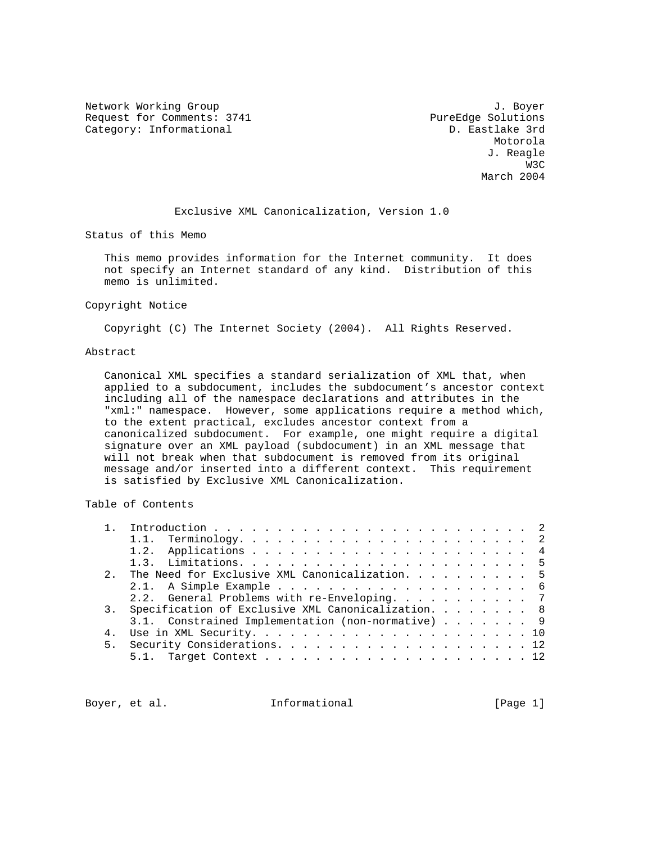Network Working Group 3. The Second Second Second Second Second Second Second Second Second Second Second Second Second Second Second Second Second Second Second Second Second Second Second Second Second Second Second Seco Request for Comments: 3741 PureEdge Solutions<br>
Category: Informational D. Eastlake 3rd Category: Informational

 Motorola J. Reagle was a structured by the state of the state of the state of the state of the state of the state of the state of the state of the state of the state of the state of the state of the state of the state of the state of the sta March 2004

Exclusive XML Canonicalization, Version 1.0

Status of this Memo

 This memo provides information for the Internet community. It does not specify an Internet standard of any kind. Distribution of this memo is unlimited.

### Copyright Notice

Copyright (C) The Internet Society (2004). All Rights Reserved.

### Abstract

 Canonical XML specifies a standard serialization of XML that, when applied to a subdocument, includes the subdocument's ancestor context including all of the namespace declarations and attributes in the "xml:" namespace. However, some applications require a method which, to the extent practical, excludes ancestor context from a canonicalized subdocument. For example, one might require a digital signature over an XML payload (subdocument) in an XML message that will not break when that subdocument is removed from its original message and/or inserted into a different context. This requirement is satisfied by Exclusive XML Canonicalization.

# Table of Contents

| $2^{\circ}$ | The Need for Exclusive XML Canonicalization. 5        |
|-------------|-------------------------------------------------------|
|             |                                                       |
|             | 2.2. General Problems with re-Enveloping. 7           |
|             | 3. Specification of Exclusive XML Canonicalization. 8 |
|             | 3.1. Constrained Implementation (non-normative) 9     |
|             |                                                       |
|             |                                                       |
|             |                                                       |
|             |                                                       |

Boyer, et al.  $I_n$  Informational [Page 1]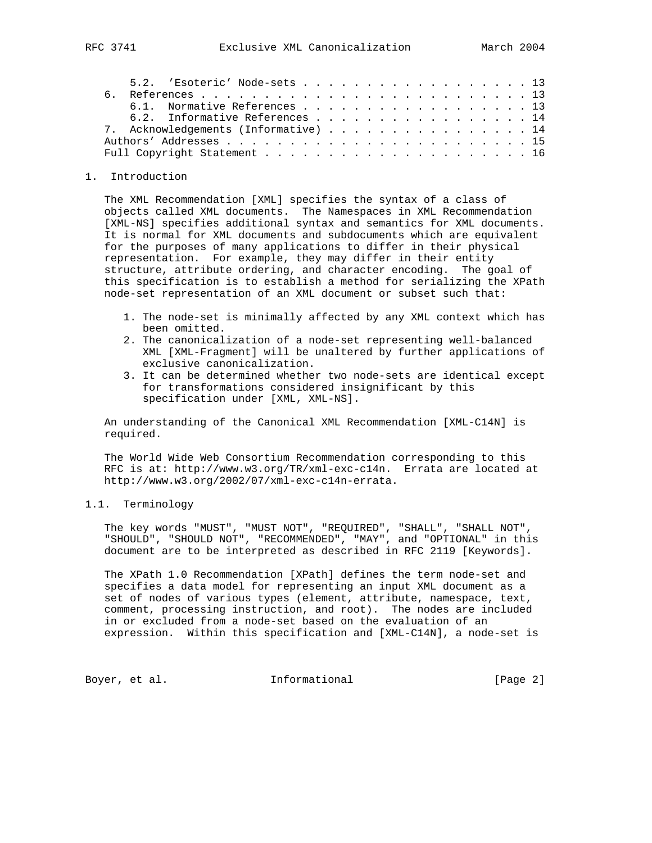|  | 5.2. 'Esoteric' Node-sets 13         |  |  |  |  |  |  |  |  |  |  |  |
|--|--------------------------------------|--|--|--|--|--|--|--|--|--|--|--|
|  |                                      |  |  |  |  |  |  |  |  |  |  |  |
|  | 6.1. Normative References 13         |  |  |  |  |  |  |  |  |  |  |  |
|  | 6.2. Informative References 14       |  |  |  |  |  |  |  |  |  |  |  |
|  | 7. Acknowledgements (Informative) 14 |  |  |  |  |  |  |  |  |  |  |  |
|  |                                      |  |  |  |  |  |  |  |  |  |  |  |
|  |                                      |  |  |  |  |  |  |  |  |  |  |  |

### 1. Introduction

 The XML Recommendation [XML] specifies the syntax of a class of objects called XML documents. The Namespaces in XML Recommendation [XML-NS] specifies additional syntax and semantics for XML documents. It is normal for XML documents and subdocuments which are equivalent for the purposes of many applications to differ in their physical representation. For example, they may differ in their entity structure, attribute ordering, and character encoding. The goal of this specification is to establish a method for serializing the XPath node-set representation of an XML document or subset such that:

- 1. The node-set is minimally affected by any XML context which has been omitted.
- 2. The canonicalization of a node-set representing well-balanced XML [XML-Fragment] will be unaltered by further applications of exclusive canonicalization.
- 3. It can be determined whether two node-sets are identical except for transformations considered insignificant by this specification under [XML, XML-NS].

 An understanding of the Canonical XML Recommendation [XML-C14N] is required.

 The World Wide Web Consortium Recommendation corresponding to this RFC is at: http://www.w3.org/TR/xml-exc-c14n. Errata are located at http://www.w3.org/2002/07/xml-exc-c14n-errata.

## 1.1. Terminology

 The key words "MUST", "MUST NOT", "REQUIRED", "SHALL", "SHALL NOT", "SHOULD", "SHOULD NOT", "RECOMMENDED", "MAY", and "OPTIONAL" in this document are to be interpreted as described in RFC 2119 [Keywords].

 The XPath 1.0 Recommendation [XPath] defines the term node-set and specifies a data model for representing an input XML document as a set of nodes of various types (element, attribute, namespace, text, comment, processing instruction, and root). The nodes are included in or excluded from a node-set based on the evaluation of an expression. Within this specification and [XML-C14N], a node-set is

Boyer, et al. 100 Informational 100 [Page 2]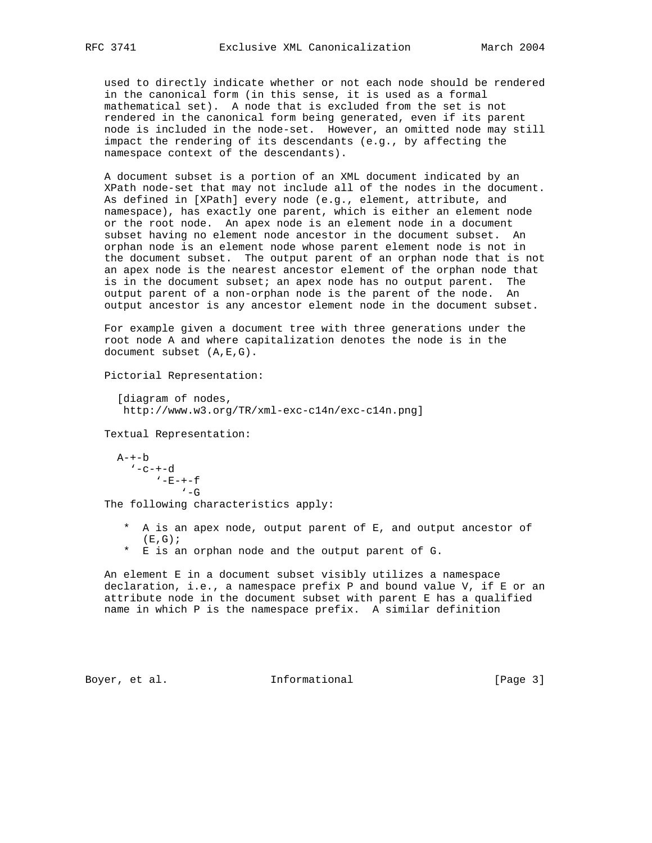used to directly indicate whether or not each node should be rendered in the canonical form (in this sense, it is used as a formal mathematical set). A node that is excluded from the set is not rendered in the canonical form being generated, even if its parent node is included in the node-set. However, an omitted node may still impact the rendering of its descendants (e.g., by affecting the namespace context of the descendants).

 A document subset is a portion of an XML document indicated by an XPath node-set that may not include all of the nodes in the document. As defined in [XPath] every node (e.g., element, attribute, and namespace), has exactly one parent, which is either an element node or the root node. An apex node is an element node in a document subset having no element node ancestor in the document subset. An orphan node is an element node whose parent element node is not in the document subset. The output parent of an orphan node that is not an apex node is the nearest ancestor element of the orphan node that is in the document subset; an apex node has no output parent. The output parent of a non-orphan node is the parent of the node. An output ancestor is any ancestor element node in the document subset.

 For example given a document tree with three generations under the root node A and where capitalization denotes the node is in the document subset (A,E,G).

Pictorial Representation:

 [diagram of nodes, http://www.w3.org/TR/xml-exc-c14n/exc-c14n.png]

Textual Representation:

 $A-+-b$  $' -c - + -d$  $'$ -E- $+-f$  $\sqrt{-G}$ 

The following characteristics apply:

- \* A is an apex node, output parent of E, and output ancestor of  $(E, G);$
- \* E is an orphan node and the output parent of G.

 An element E in a document subset visibly utilizes a namespace declaration, i.e., a namespace prefix P and bound value V, if E or an attribute node in the document subset with parent E has a qualified name in which P is the namespace prefix. A similar definition

Boyer, et al. **Informational** [Page 3]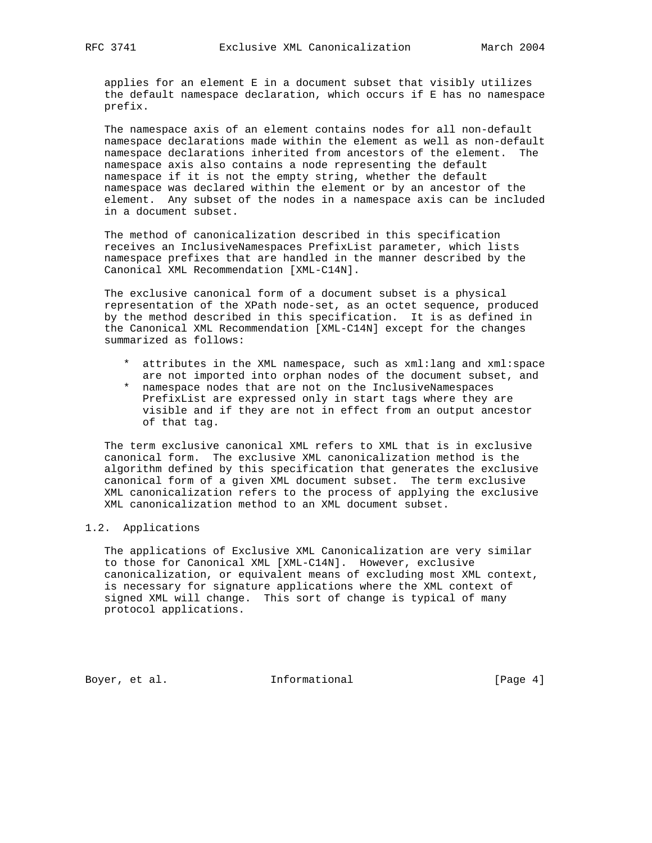applies for an element E in a document subset that visibly utilizes the default namespace declaration, which occurs if E has no namespace prefix.

 The namespace axis of an element contains nodes for all non-default namespace declarations made within the element as well as non-default namespace declarations inherited from ancestors of the element. The namespace axis also contains a node representing the default namespace if it is not the empty string, whether the default namespace was declared within the element or by an ancestor of the element. Any subset of the nodes in a namespace axis can be included in a document subset.

 The method of canonicalization described in this specification receives an InclusiveNamespaces PrefixList parameter, which lists namespace prefixes that are handled in the manner described by the Canonical XML Recommendation [XML-C14N].

 The exclusive canonical form of a document subset is a physical representation of the XPath node-set, as an octet sequence, produced by the method described in this specification. It is as defined in the Canonical XML Recommendation [XML-C14N] except for the changes summarized as follows:

- \* attributes in the XML namespace, such as xml:lang and xml:space are not imported into orphan nodes of the document subset, and
- \* namespace nodes that are not on the InclusiveNamespaces PrefixList are expressed only in start tags where they are visible and if they are not in effect from an output ancestor of that tag.

 The term exclusive canonical XML refers to XML that is in exclusive canonical form. The exclusive XML canonicalization method is the algorithm defined by this specification that generates the exclusive canonical form of a given XML document subset. The term exclusive XML canonicalization refers to the process of applying the exclusive XML canonicalization method to an XML document subset.

## 1.2. Applications

 The applications of Exclusive XML Canonicalization are very similar to those for Canonical XML [XML-C14N]. However, exclusive canonicalization, or equivalent means of excluding most XML context, is necessary for signature applications where the XML context of signed XML will change. This sort of change is typical of many protocol applications.

Boyer, et al. 1nformational 1999 [Page 4]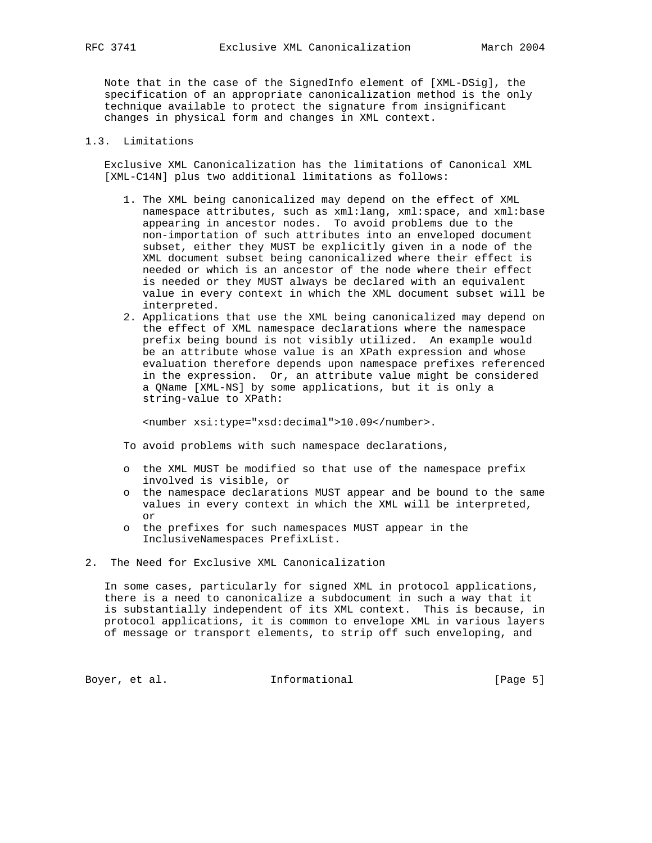Note that in the case of the SignedInfo element of [XML-DSig], the specification of an appropriate canonicalization method is the only technique available to protect the signature from insignificant changes in physical form and changes in XML context.

## 1.3. Limitations

 Exclusive XML Canonicalization has the limitations of Canonical XML [XML-C14N] plus two additional limitations as follows:

- 1. The XML being canonicalized may depend on the effect of XML namespace attributes, such as xml:lang, xml:space, and xml:base appearing in ancestor nodes. To avoid problems due to the non-importation of such attributes into an enveloped document subset, either they MUST be explicitly given in a node of the XML document subset being canonicalized where their effect is needed or which is an ancestor of the node where their effect is needed or they MUST always be declared with an equivalent value in every context in which the XML document subset will be interpreted.
- 2. Applications that use the XML being canonicalized may depend on the effect of XML namespace declarations where the namespace prefix being bound is not visibly utilized. An example would be an attribute whose value is an XPath expression and whose evaluation therefore depends upon namespace prefixes referenced in the expression. Or, an attribute value might be considered a QName [XML-NS] by some applications, but it is only a string-value to XPath:

<number xsi:type="xsd:decimal">10.09</number>.

To avoid problems with such namespace declarations,

- o the XML MUST be modified so that use of the namespace prefix involved is visible, or
- o the namespace declarations MUST appear and be bound to the same values in every context in which the XML will be interpreted, or
- o the prefixes for such namespaces MUST appear in the InclusiveNamespaces PrefixList.
- 2. The Need for Exclusive XML Canonicalization

 In some cases, particularly for signed XML in protocol applications, there is a need to canonicalize a subdocument in such a way that it is substantially independent of its XML context. This is because, in protocol applications, it is common to envelope XML in various layers of message or transport elements, to strip off such enveloping, and

Boyer, et al. 10 Informational 100 [Page 5]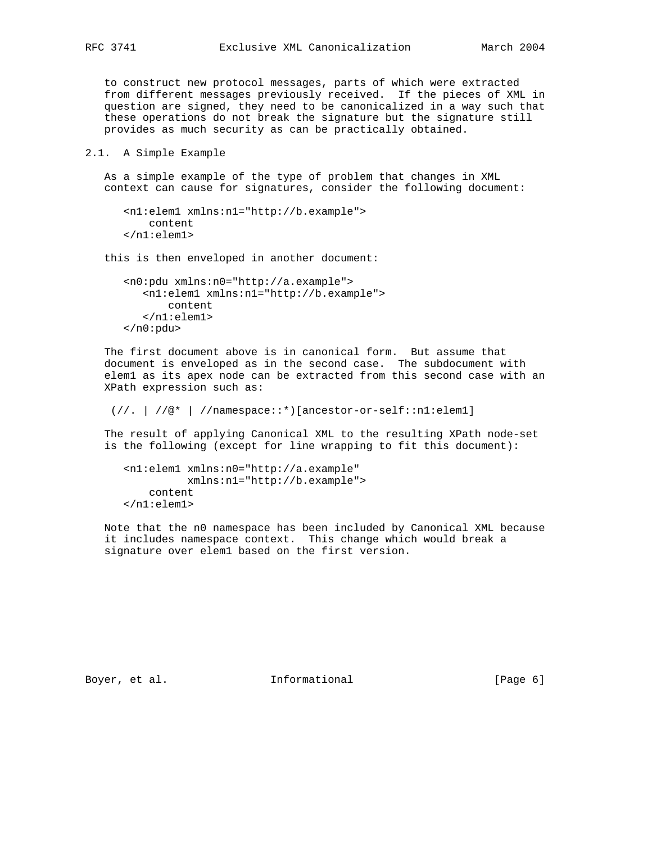to construct new protocol messages, parts of which were extracted from different messages previously received. If the pieces of XML in question are signed, they need to be canonicalized in a way such that these operations do not break the signature but the signature still provides as much security as can be practically obtained.

2.1. A Simple Example

 As a simple example of the type of problem that changes in XML context can cause for signatures, consider the following document:

```
 <n1:elem1 xmlns:n1="http://b.example">
     content
 </n1:elem1>
```
this is then enveloped in another document:

```
 <n0:pdu xmlns:n0="http://a.example">
    <n1:elem1 xmlns:n1="http://b.example">
        content
    </n1:elem1>
\langlen0:pdu>
```
 The first document above is in canonical form. But assume that document is enveloped as in the second case. The subdocument with elem1 as its apex node can be extracted from this second case with an XPath expression such as:

```
(//. | //@* | //namespace::*) [ancestor-or-self::nl:eleml]
```
 The result of applying Canonical XML to the resulting XPath node-set is the following (except for line wrapping to fit this document):

```
 <n1:elem1 xmlns:n0="http://a.example"
          xmlns:n1="http://b.example">
     content
 </n1:elem1>
```
 Note that the n0 namespace has been included by Canonical XML because it includes namespace context. This change which would break a signature over elem1 based on the first version.

Boyer, et al. 10 Informational 100 [Page 6]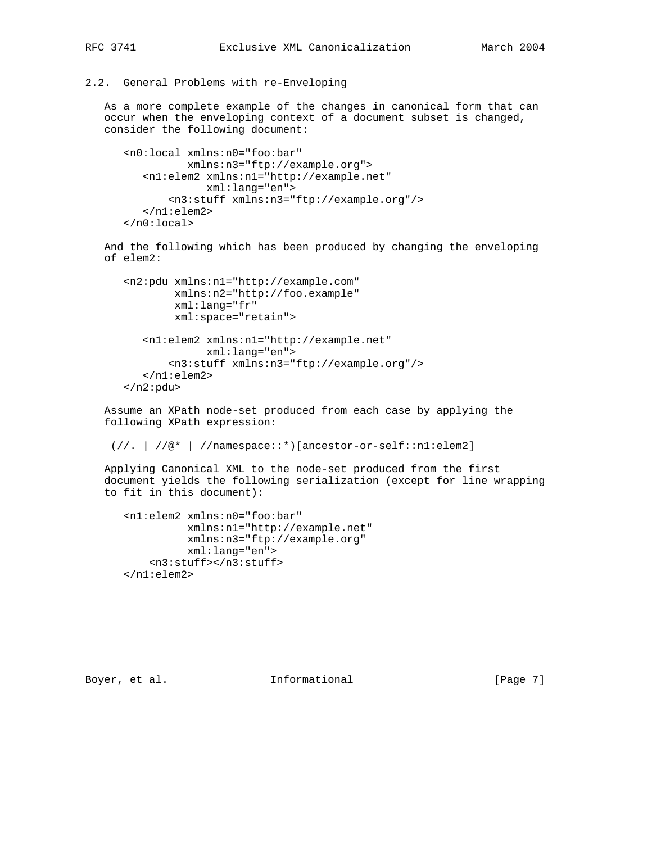## 2.2. General Problems with re-Enveloping

 As a more complete example of the changes in canonical form that can occur when the enveloping context of a document subset is changed, consider the following document:

```
 <n0:local xmlns:n0="foo:bar"
          xmlns:n3="ftp://example.org">
    <n1:elem2 xmlns:n1="http://example.net"
             xml:lang="en">
        <n3:stuff xmlns:n3="ftp://example.org"/>
    </n1:elem2>
 </n0:local>
```
 And the following which has been produced by changing the enveloping of elem2:

```
 <n2:pdu xmlns:n1="http://example.com"
         xmlns:n2="http://foo.example"
         xml:lang="fr"
         xml:space="retain">
    <n1:elem2 xmlns:n1="http://example.net"
              xml:lang="en">
        <n3:stuff xmlns:n3="ftp://example.org"/>
    </n1:elem2>
\langlen2:pdu>
```
 Assume an XPath node-set produced from each case by applying the following XPath expression:

```
 (//. | //@* | //namespace::*)[ancestor-or-self::n1:elem2]
```
 Applying Canonical XML to the node-set produced from the first document yields the following serialization (except for line wrapping to fit in this document):

```
 <n1:elem2 xmlns:n0="foo:bar"
           xmlns:n1="http://example.net"
           xmlns:n3="ftp://example.org"
           xml:lang="en">
     <n3:stuff></n3:stuff>
 </n1:elem2>
```
Boyer, et al. **Informational** [Page 7]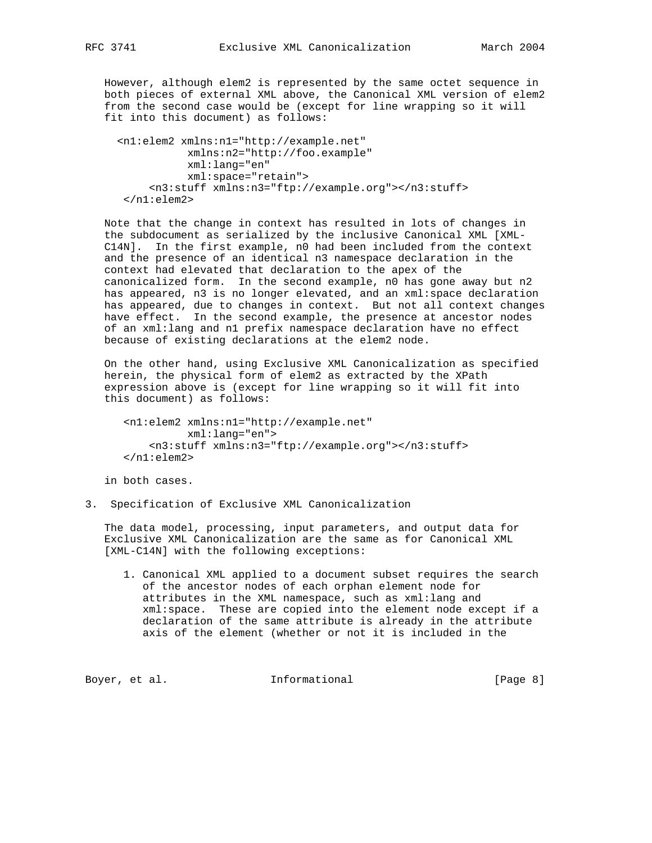However, although elem2 is represented by the same octet sequence in both pieces of external XML above, the Canonical XML version of elem2 from the second case would be (except for line wrapping so it will fit into this document) as follows:

```
 <n1:elem2 xmlns:n1="http://example.net"
            xmlns:n2="http://foo.example"
            xml:lang="en"
            xml:space="retain">
      <n3:stuff xmlns:n3="ftp://example.org"></n3:stuff>
  </n1:elem2>
```
 Note that the change in context has resulted in lots of changes in the subdocument as serialized by the inclusive Canonical XML [XML- C14N]. In the first example, n0 had been included from the context and the presence of an identical n3 namespace declaration in the context had elevated that declaration to the apex of the canonicalized form. In the second example, n0 has gone away but n2 has appeared, n3 is no longer elevated, and an xml: space declaration has appeared, due to changes in context. But not all context changes have effect. In the second example, the presence at ancestor nodes of an xml:lang and n1 prefix namespace declaration have no effect because of existing declarations at the elem2 node.

 On the other hand, using Exclusive XML Canonicalization as specified herein, the physical form of elem2 as extracted by the XPath expression above is (except for line wrapping so it will fit into this document) as follows:

```
 <n1:elem2 xmlns:n1="http://example.net"
          xml:lang="en">
     <n3:stuff xmlns:n3="ftp://example.org"></n3:stuff>
 </n1:elem2>
```
in both cases.

3. Specification of Exclusive XML Canonicalization

 The data model, processing, input parameters, and output data for Exclusive XML Canonicalization are the same as for Canonical XML [XML-C14N] with the following exceptions:

 1. Canonical XML applied to a document subset requires the search of the ancestor nodes of each orphan element node for attributes in the XML namespace, such as xml:lang and xml:space. These are copied into the element node except if a declaration of the same attribute is already in the attribute axis of the element (whether or not it is included in the

Boyer, et al. 10 Informational 100 [Page 8]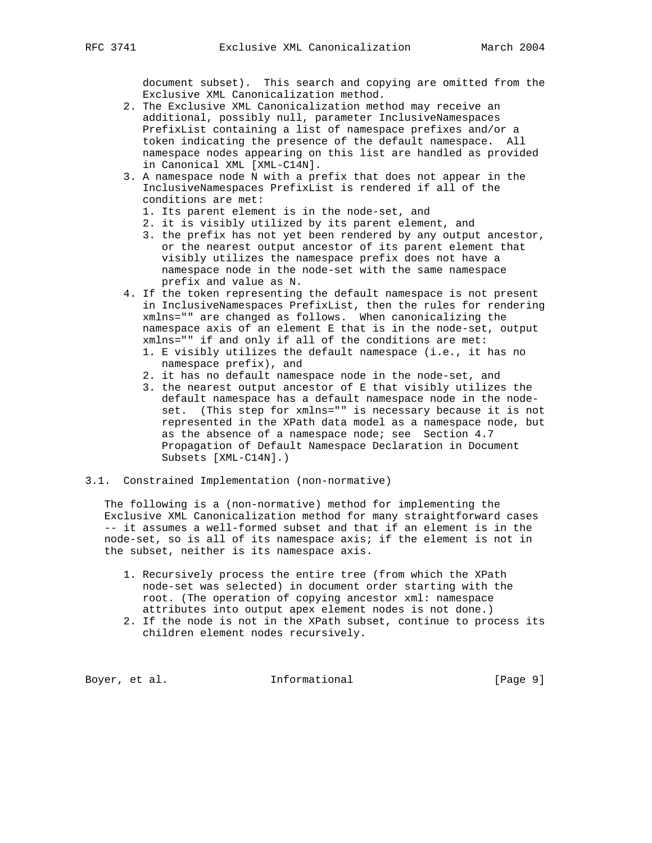document subset). This search and copying are omitted from the Exclusive XML Canonicalization method.

- 2. The Exclusive XML Canonicalization method may receive an additional, possibly null, parameter InclusiveNamespaces PrefixList containing a list of namespace prefixes and/or a token indicating the presence of the default namespace. All namespace nodes appearing on this list are handled as provided in Canonical XML [XML-C14N].
- 3. A namespace node N with a prefix that does not appear in the InclusiveNamespaces PrefixList is rendered if all of the conditions are met:
	- 1. Its parent element is in the node-set, and
	- 2. it is visibly utilized by its parent element, and
	- 3. the prefix has not yet been rendered by any output ancestor, or the nearest output ancestor of its parent element that visibly utilizes the namespace prefix does not have a namespace node in the node-set with the same namespace prefix and value as N.
- 4. If the token representing the default namespace is not present in InclusiveNamespaces PrefixList, then the rules for rendering xmlns="" are changed as follows. When canonicalizing the namespace axis of an element E that is in the node-set, output xmlns="" if and only if all of the conditions are met:
	- 1. E visibly utilizes the default namespace (i.e., it has no namespace prefix), and
	- 2. it has no default namespace node in the node-set, and
	- 3. the nearest output ancestor of E that visibly utilizes the default namespace has a default namespace node in the node set. (This step for xmlns="" is necessary because it is not represented in the XPath data model as a namespace node, but as the absence of a namespace node; see Section 4.7 Propagation of Default Namespace Declaration in Document Subsets [XML-C14N].)
- 3.1. Constrained Implementation (non-normative)

 The following is a (non-normative) method for implementing the Exclusive XML Canonicalization method for many straightforward cases -- it assumes a well-formed subset and that if an element is in the node-set, so is all of its namespace axis; if the element is not in the subset, neither is its namespace axis.

- 1. Recursively process the entire tree (from which the XPath node-set was selected) in document order starting with the root. (The operation of copying ancestor xml: namespace attributes into output apex element nodes is not done.)
- 2. If the node is not in the XPath subset, continue to process its children element nodes recursively.

Boyer, et al. 10. Informational 1. [Page 9]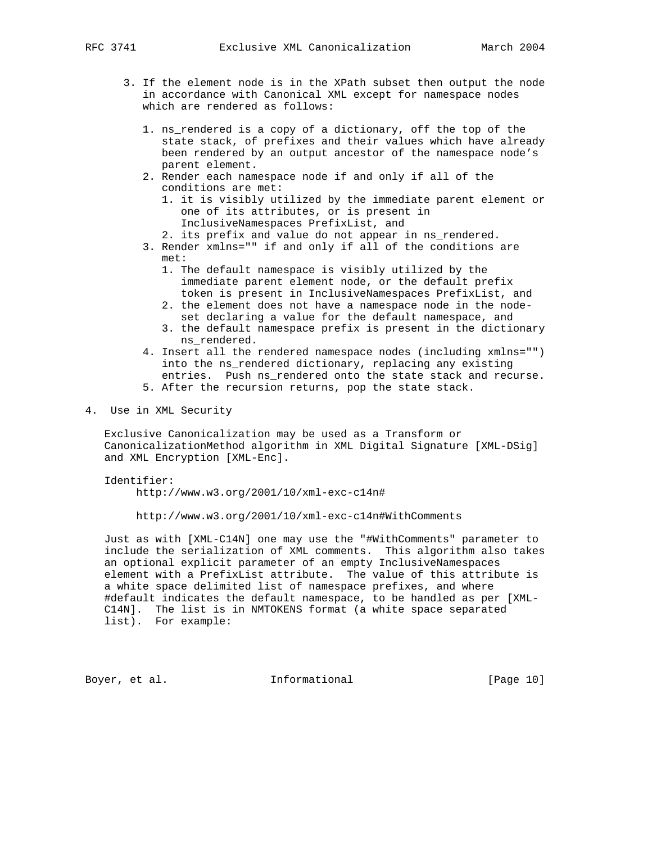- 3. If the element node is in the XPath subset then output the node in accordance with Canonical XML except for namespace nodes which are rendered as follows:
	- 1. ns\_rendered is a copy of a dictionary, off the top of the state stack, of prefixes and their values which have already been rendered by an output ancestor of the namespace node's parent element.
	- 2. Render each namespace node if and only if all of the conditions are met:
		- 1. it is visibly utilized by the immediate parent element or one of its attributes, or is present in InclusiveNamespaces PrefixList, and
		- 2. its prefix and value do not appear in ns\_rendered.
	- 3. Render xmlns="" if and only if all of the conditions are met:
		- 1. The default namespace is visibly utilized by the immediate parent element node, or the default prefix token is present in InclusiveNamespaces PrefixList, and
		- 2. the element does not have a namespace node in the node set declaring a value for the default namespace, and
		- 3. the default namespace prefix is present in the dictionary ns\_rendered.
	- 4. Insert all the rendered namespace nodes (including xmlns="") into the ns\_rendered dictionary, replacing any existing entries. Push ns\_rendered onto the state stack and recurse.
	- 5. After the recursion returns, pop the state stack.
- 4. Use in XML Security

 Exclusive Canonicalization may be used as a Transform or CanonicalizationMethod algorithm in XML Digital Signature [XML-DSig] and XML Encryption [XML-Enc].

Identifier:

http://www.w3.org/2001/10/xml-exc-c14n#

http://www.w3.org/2001/10/xml-exc-c14n#WithComments

 Just as with [XML-C14N] one may use the "#WithComments" parameter to include the serialization of XML comments. This algorithm also takes an optional explicit parameter of an empty InclusiveNamespaces element with a PrefixList attribute. The value of this attribute is a white space delimited list of namespace prefixes, and where #default indicates the default namespace, to be handled as per [XML- C14N]. The list is in NMTOKENS format (a white space separated list). For example:

Boyer, et al. **Informational** [Page 10]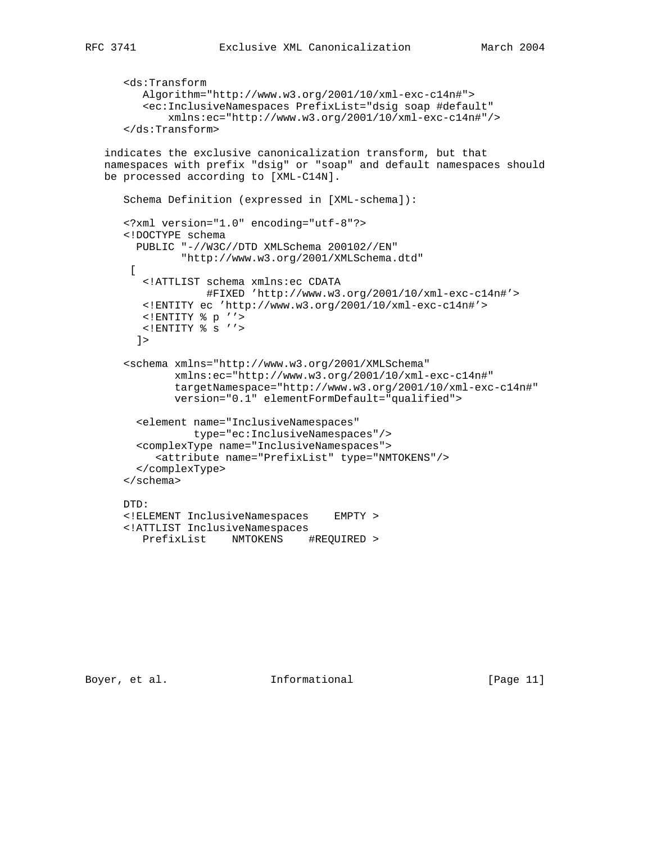```
 <ds:Transform
       Algorithm="http://www.w3.org/2001/10/xml-exc-c14n#">
       <ec:InclusiveNamespaces PrefixList="dsig soap #default"
           xmlns:ec="http://www.w3.org/2001/10/xml-exc-c14n#"/>
    </ds:Transform>
 indicates the exclusive canonicalization transform, but that
 namespaces with prefix "dsig" or "soap" and default namespaces should
 be processed according to [XML-C14N].
    Schema Definition (expressed in [XML-schema]):
    <?xml version="1.0" encoding="utf-8"?>
    <!DOCTYPE schema
      PUBLIC "-//W3C//DTD XMLSchema 200102//EN"
             "http://www.w3.org/2001/XMLSchema.dtd"
    \Gamma <!ATTLIST schema xmlns:ec CDATA
                 #FIXED 'http://www.w3.org/2001/10/xml-exc-c14n#'>
       <!ENTITY ec 'http://www.w3.org/2001/10/xml-exc-c14n#'>
       <!ENTITY % p ''>
       <!ENTITY % s ''>
     ] <schema xmlns="http://www.w3.org/2001/XMLSchema"
            xmlns:ec="http://www.w3.org/2001/10/xml-exc-c14n#"
            targetNamespace="http://www.w3.org/2001/10/xml-exc-c14n#"
            version="0.1" elementFormDefault="qualified">
      <element name="InclusiveNamespaces"
              type="ec:InclusiveNamespaces"/>
      <complexType name="InclusiveNamespaces">
         <attribute name="PrefixList" type="NMTOKENS"/>
      </complexType>
    </schema>
    DTD:
    <!ELEMENT InclusiveNamespaces EMPTY >
    <!ATTLIST InclusiveNamespaces
       PrefixList NMTOKENS #REQUIRED >
```
Boyer, et al. 10 Informational 10 [Page 11]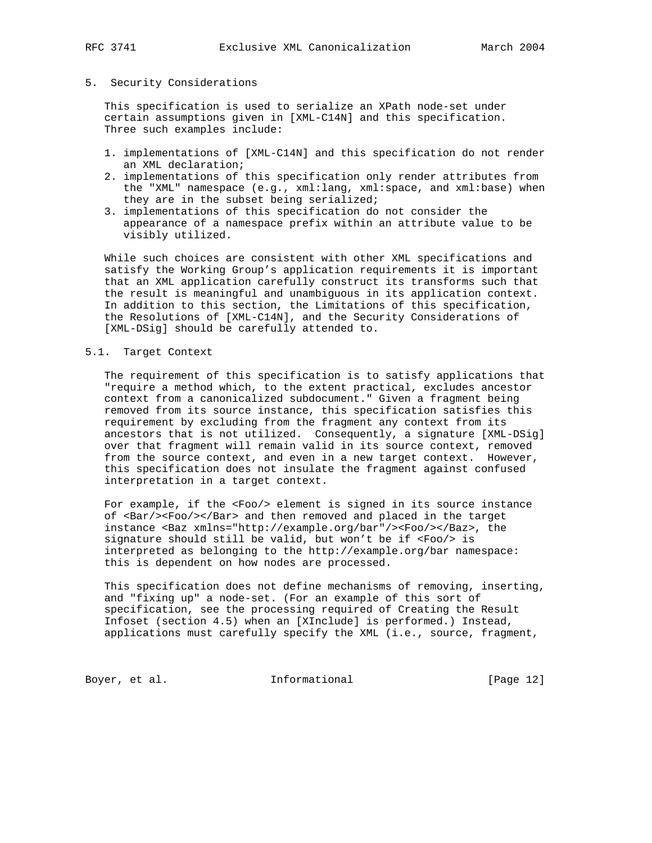## 5. Security Considerations

 This specification is used to serialize an XPath node-set under certain assumptions given in [XML-C14N] and this specification. Three such examples include:

- 1. implementations of [XML-C14N] and this specification do not render an XML declaration;
- 2. implementations of this specification only render attributes from the "XML" namespace (e.g., xml:lang, xml:space, and xml:base) when they are in the subset being serialized;
- 3. implementations of this specification do not consider the appearance of a namespace prefix within an attribute value to be visibly utilized.

 While such choices are consistent with other XML specifications and satisfy the Working Group's application requirements it is important that an XML application carefully construct its transforms such that the result is meaningful and unambiguous in its application context. In addition to this section, the Limitations of this specification, the Resolutions of [XML-C14N], and the Security Considerations of [XML-DSig] should be carefully attended to.

## 5.1. Target Context

 The requirement of this specification is to satisfy applications that "require a method which, to the extent practical, excludes ancestor context from a canonicalized subdocument." Given a fragment being removed from its source instance, this specification satisfies this requirement by excluding from the fragment any context from its ancestors that is not utilized. Consequently, a signature [XML-DSig] over that fragment will remain valid in its source context, removed from the source context, and even in a new target context. However, this specification does not insulate the fragment against confused interpretation in a target context.

 For example, if the <Foo/> element is signed in its source instance of <Bar/><Foo/></Bar> and then removed and placed in the target instance <Baz xmlns="http://example.org/bar"/><Foo/></Baz>, the signature should still be valid, but won't be if <Foo/> is interpreted as belonging to the http://example.org/bar namespace: this is dependent on how nodes are processed.

 This specification does not define mechanisms of removing, inserting, and "fixing up" a node-set. (For an example of this sort of specification, see the processing required of Creating the Result Infoset (section 4.5) when an [XInclude] is performed.) Instead, applications must carefully specify the XML (i.e., source, fragment,

Boyer, et al. 10 1nformational 100 [Page 12]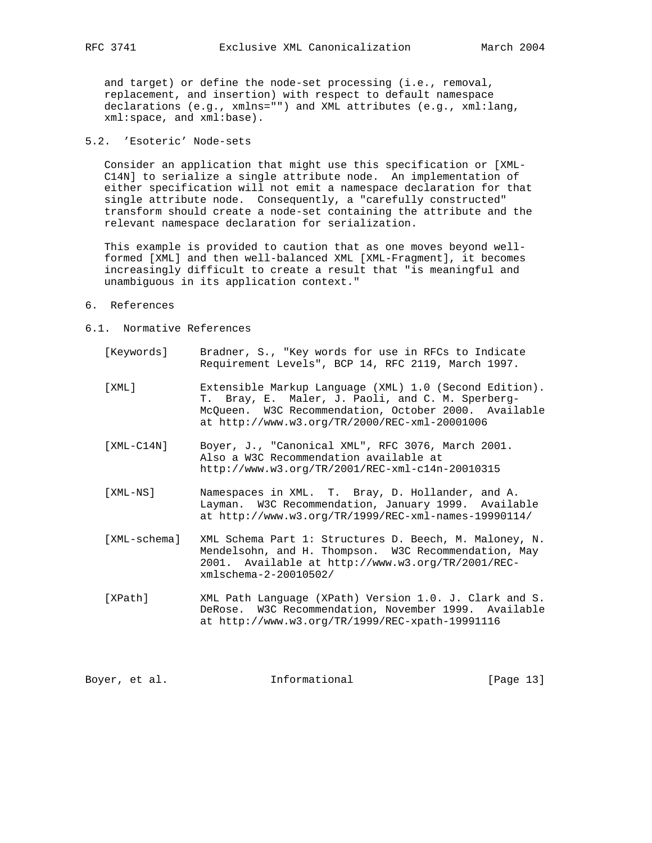and target) or define the node-set processing (i.e., removal, replacement, and insertion) with respect to default namespace declarations (e.g., xmlns="") and XML attributes (e.g., xml:lang, xml:space, and xml:base).

# 5.2. 'Esoteric' Node-sets

 Consider an application that might use this specification or [XML- C14N] to serialize a single attribute node. An implementation of either specification will not emit a namespace declaration for that single attribute node. Consequently, a "carefully constructed" transform should create a node-set containing the attribute and the relevant namespace declaration for serialization.

 This example is provided to caution that as one moves beyond well formed [XML] and then well-balanced XML [XML-Fragment], it becomes increasingly difficult to create a result that "is meaningful and unambiguous in its application context."

- 6. References
- 6.1. Normative References
	- [Keywords] Bradner, S., "Key words for use in RFCs to Indicate Requirement Levels", BCP 14, RFC 2119, March 1997.
	- [XML] Extensible Markup Language (XML) 1.0 (Second Edition). T. Bray, E. Maler, J. Paoli, and C. M. Sperberg- McQueen. W3C Recommendation, October 2000. Available at http://www.w3.org/TR/2000/REC-xml-20001006
	- [XML-C14N] Boyer, J., "Canonical XML", RFC 3076, March 2001. Also a W3C Recommendation available at http://www.w3.org/TR/2001/REC-xml-c14n-20010315
	- [XML-NS] Namespaces in XML. T. Bray, D. Hollander, and A. Layman. W3C Recommendation, January 1999. Available at http://www.w3.org/TR/1999/REC-xml-names-19990114/
	- [XML-schema] XML Schema Part 1: Structures D. Beech, M. Maloney, N. Mendelsohn, and H. Thompson. W3C Recommendation, May 2001. Available at http://www.w3.org/TR/2001/REC xmlschema-2-20010502/
	- [XPath] XML Path Language (XPath) Version 1.0. J. Clark and S. DeRose. W3C Recommendation, November 1999. Available at http://www.w3.org/TR/1999/REC-xpath-19991116

Boyer, et al. **Informational** [Page 13]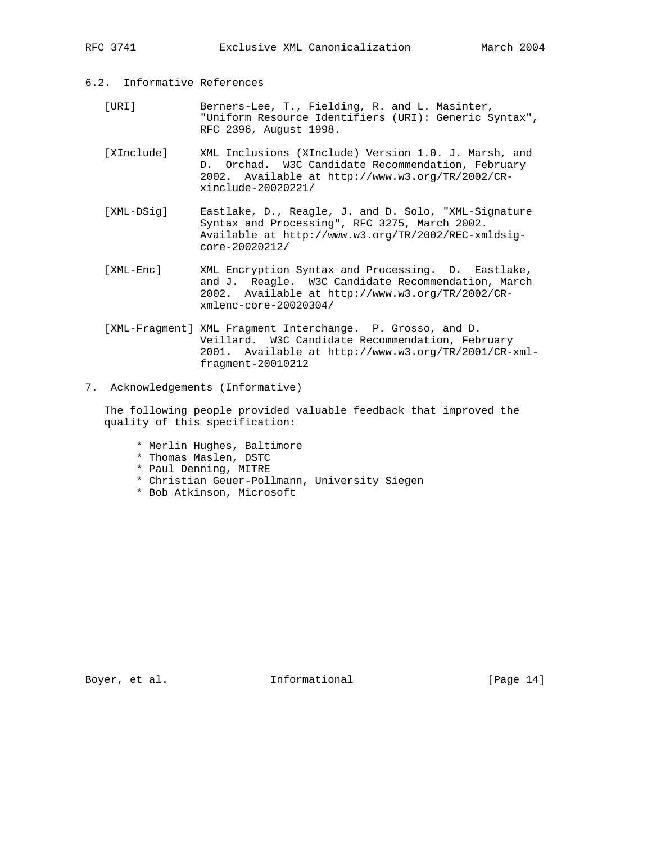# 6.2. Informative References

- [URI] Berners-Lee, T., Fielding, R. and L. Masinter, "Uniform Resource Identifiers (URI): Generic Syntax", RFC 2396, August 1998.
- [XInclude] XML Inclusions (XInclude) Version 1.0. J. Marsh, and D. Orchad. W3C Candidate Recommendation, February 2002. Available at http://www.w3.org/TR/2002/CR xinclude-20020221/
- [XML-DSig] Eastlake, D., Reagle, J. and D. Solo, "XML-Signature Syntax and Processing", RFC 3275, March 2002. Available at http://www.w3.org/TR/2002/REC-xmldsig core-20020212/
- [XML-Enc] XML Encryption Syntax and Processing. D. Eastlake, and J. Reagle. W3C Candidate Recommendation, March 2002. Available at http://www.w3.org/TR/2002/CR xmlenc-core-20020304/
- [XML-Fragment] XML Fragment Interchange. P. Grosso, and D. Veillard. W3C Candidate Recommendation, February 2001. Available at http://www.w3.org/TR/2001/CR-xml fragment-20010212
- 7. Acknowledgements (Informative)

 The following people provided valuable feedback that improved the quality of this specification:

- \* Merlin Hughes, Baltimore
- \* Thomas Maslen, DSTC
- \* Paul Denning, MITRE
- \* Christian Geuer-Pollmann, University Siegen
- \* Bob Atkinson, Microsoft

Boyer, et al. 10 Informational 1999 [Page 14]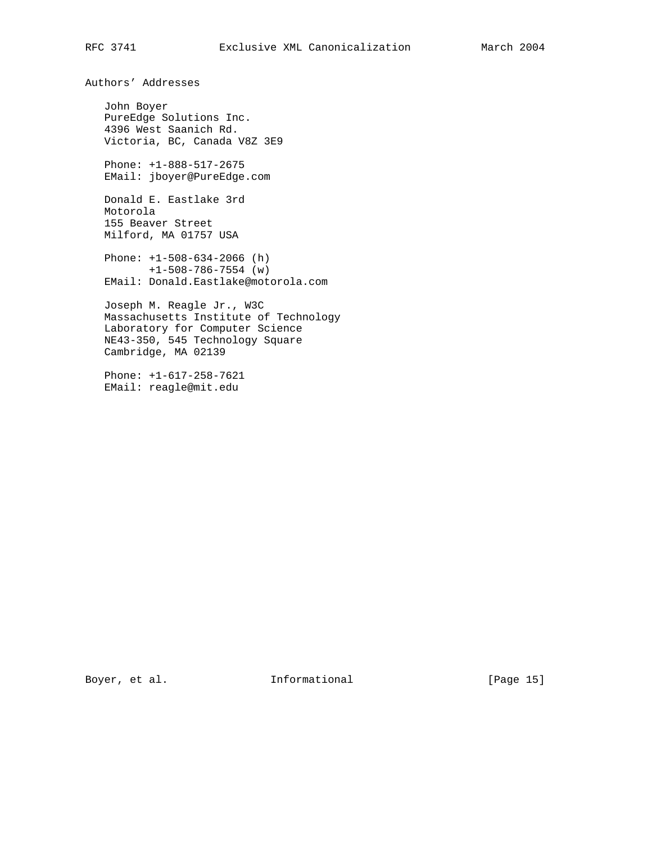Authors' Addresses

 John Boyer PureEdge Solutions Inc. 4396 West Saanich Rd. Victoria, BC, Canada V8Z 3E9

 Phone: +1-888-517-2675 EMail: jboyer@PureEdge.com

 Donald E. Eastlake 3rd Motorola 155 Beaver Street Milford, MA 01757 USA

 Phone: +1-508-634-2066 (h) +1-508-786-7554 (w) EMail: Donald.Eastlake@motorola.com

 Joseph M. Reagle Jr., W3C Massachusetts Institute of Technology Laboratory for Computer Science NE43-350, 545 Technology Square Cambridge, MA 02139

 Phone: +1-617-258-7621 EMail: reagle@mit.edu

Boyer, et al. 10. Informational 1. [Page 15]